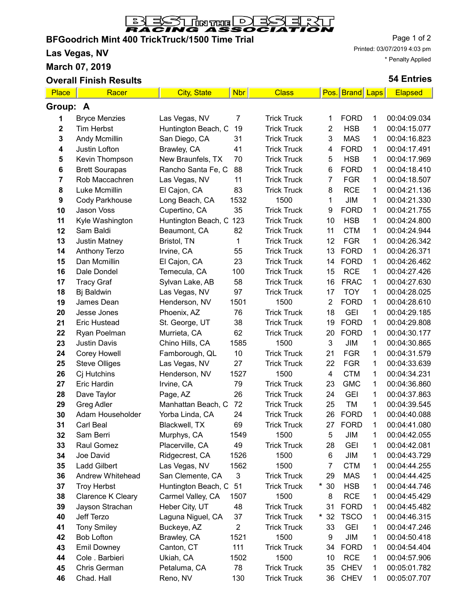

-1

# **BFGoodrich Mint 400 TrickTruck/1500 Time Trial**

**Las Vegas, NV**

**March 07, 2019**

#### **Overall Finish Results**

Page 1 of 2 Printed: 03/07/2019 4:03 pm \* Penalty Applied

#### **54 Entries**

 $\blacksquare$ 

| Place       | Racer                                   | <b>City, State</b>        | <b>Nbr</b>           | <b>Class</b>               |                | Pos. Brand Laps          |        | <b>Elapsed</b>               |  |
|-------------|-----------------------------------------|---------------------------|----------------------|----------------------------|----------------|--------------------------|--------|------------------------------|--|
| Group: A    |                                         |                           |                      |                            |                |                          |        |                              |  |
| 1           | <b>Bryce Menzies</b>                    | Las Vegas, NV             | 7                    | <b>Trick Truck</b>         | 1              | <b>FORD</b>              | 1      | 00:04:09.034                 |  |
| $\mathbf 2$ | <b>Tim Herbst</b>                       | Huntington Beach, C       | 19                   | <b>Trick Truck</b>         | 2              | <b>HSB</b>               | 1      | 00:04:15.077                 |  |
| 3           | Andy Mcmillin                           | San Diego, CA             | 31                   | <b>Trick Truck</b>         | 3              | <b>MAS</b>               | 1      | 00:04:16.823                 |  |
| 4           | Justin Lofton                           | Brawley, CA               | 41                   | <b>Trick Truck</b>         | 4              | <b>FORD</b>              | 1      | 00:04:17.491                 |  |
| 5           | Kevin Thompson                          | New Braunfels, TX         | 70                   | <b>Trick Truck</b>         | 5              | <b>HSB</b>               | 1      | 00:04:17.969                 |  |
| 6           | <b>Brett Sourapas</b>                   | Rancho Santa Fe, C        | 88                   | <b>Trick Truck</b>         | 6              | <b>FORD</b>              | 1      | 00:04:18.410                 |  |
| 7           | Rob Maccachren                          | Las Vegas, NV             | 11                   | <b>Trick Truck</b>         | $\overline{7}$ | <b>FGR</b>               | 1      | 00:04:18.507                 |  |
| 8           | Luke Mcmillin                           | El Cajon, CA              | 83                   | <b>Trick Truck</b>         | 8              | <b>RCE</b>               | 1      | 00:04:21.136                 |  |
| 9           | <b>Cody Parkhouse</b>                   | Long Beach, CA            | 1532                 | 1500                       | 1              | JIM                      | 1      | 00:04:21.330                 |  |
| 10          | Jason Voss                              | Cupertino, CA             | 35                   | <b>Trick Truck</b>         | 9              | <b>FORD</b>              | 1      | 00:04:21.755                 |  |
| 11          | Kyle Washington                         | Huntington Beach, C       | 123                  | <b>Trick Truck</b>         | 10             | <b>HSB</b>               | 1      | 00:04:24.800                 |  |
| 12          | Sam Baldi                               | Beaumont, CA              | 82                   | <b>Trick Truck</b>         | 11             | <b>CTM</b>               | 1      | 00:04:24.944                 |  |
| 13          | <b>Justin Matney</b>                    | Bristol, TN               | 1                    | <b>Trick Truck</b>         | 12             | <b>FGR</b>               | 1      | 00:04:26.342                 |  |
| 14          | <b>Anthony Terzo</b>                    | Irvine, CA                | 55                   | <b>Trick Truck</b>         | 13             | <b>FORD</b>              | 1      | 00:04:26.371                 |  |
| 15          | Dan Mcmillin                            | El Cajon, CA              | 23                   | <b>Trick Truck</b>         | 14             | <b>FORD</b>              | 1      | 00:04:26.462                 |  |
| 16          | Dale Dondel                             | Temecula, CA              | 100                  | <b>Trick Truck</b>         | 15             | <b>RCE</b>               | 1      | 00:04:27.426                 |  |
| 17          | <b>Tracy Graf</b>                       | Sylvan Lake, AB           | 58                   | <b>Trick Truck</b>         | 16             | <b>FRAC</b>              | 1      | 00:04:27.630                 |  |
| 18          | Bj Baldwin                              | Las Vegas, NV             | 97                   | <b>Trick Truck</b>         | 17             | <b>TOY</b>               | 1      | 00:04:28.025                 |  |
| 19          | James Dean                              | Henderson, NV             | 1501                 | 1500                       | $\overline{2}$ | <b>FORD</b>              | 1      | 00:04:28.610                 |  |
| 20          | Jesse Jones                             | Phoenix, AZ               | 76                   | <b>Trick Truck</b>         | 18             | <b>GEI</b>               | 1      | 00:04:29.185                 |  |
| 21          | <b>Eric Hustead</b>                     | St. George, UT            | 38                   | <b>Trick Truck</b>         | 19             | <b>FORD</b>              | 1      | 00:04:29.808                 |  |
| 22          | Ryan Poelman                            | Murrieta, CA              | 62                   | <b>Trick Truck</b>         | 20             | <b>FORD</b>              | 1      | 00:04:30.177                 |  |
| 23          | <b>Justin Davis</b>                     | Chino Hills, CA           | 1585                 | 1500                       | 3              | JIM                      | 1      | 00:04:30.865                 |  |
| 24          | Corey Howell                            | Famborough, QL            | 10                   | <b>Trick Truck</b>         | 21             | <b>FGR</b>               | 1      | 00:04:31.579                 |  |
| 25          | <b>Steve Olliges</b>                    | Las Vegas, NV             | 27                   | <b>Trick Truck</b>         | 22             | <b>FGR</b>               | 1      | 00:04:33.639                 |  |
| 26          | Cj Hutchins                             | Henderson, NV             | 1527                 | 1500                       | 4              | <b>CTM</b>               | 1      | 00:04:34.231                 |  |
| 27          | <b>Eric Hardin</b>                      | Irvine, CA                | 79                   | <b>Trick Truck</b>         | 23             | <b>GMC</b>               | 1      | 00:04:36.860                 |  |
| 28          | Dave Taylor                             | Page, AZ                  | 26                   | <b>Trick Truck</b>         | 24             | <b>GEI</b>               | 1      | 00:04:37.863                 |  |
| 29          | Greg Adler                              | Manhattan Beach, C        | 72                   | <b>Trick Truck</b>         | 25             | TM                       | 1      | 00:04:39.545                 |  |
| 30          | Adam Householder                        | Yorba Linda, CA           | 24                   | <b>Trick Truck</b>         | 26             | <b>FORD</b>              | 1      | 00:04:40.088                 |  |
| 31          | Carl Beal                               | Blackwell, TX             | 69                   | <b>Trick Truck</b>         | 27             | <b>FORD</b>              | 1      | 00:04:41.080                 |  |
| 32          | Sam Berri                               | Murphys, CA               | 1549                 | 1500                       | 5              | JIM                      | 1      | 00:04:42.055                 |  |
| 33          | Raul Gomez                              | Placerville, CA           | 49                   | <b>Trick Truck</b>         | 28             | <b>GEI</b>               | 1      | 00:04:42.081                 |  |
| 34          | Joe David                               | Ridgecrest, CA            | 1526                 | 1500                       | 6              | JIM                      | 1      | 00:04:43.729                 |  |
| 35          | <b>Ladd Gilbert</b>                     | Las Vegas, NV             | 1562                 | 1500                       | 7              | <b>CTM</b>               | 1      | 00:04:44.255                 |  |
| 36          | Andrew Whitehead                        | San Clemente, CA          | 3                    | <b>Trick Truck</b>         | 29             | <b>MAS</b>               | 1      | 00:04:44.425                 |  |
| 37          | <b>Troy Herbst</b>                      | Huntington Beach, C       | 51                   | <b>Trick Truck</b>         | $*30$          | <b>HSB</b>               | 1      | 00:04:44.746                 |  |
| 38          | <b>Clarence K Cleary</b>                | Carmel Valley, CA         | 1507                 | 1500                       | 8              | <b>RCE</b>               | 1      | 00:04:45.429                 |  |
| 39          | Jayson Strachan                         | Heber City, UT            | 48                   | <b>Trick Truck</b>         | 31             | <b>FORD</b>              | 1      | 00:04:45.482                 |  |
| 40          | Jeff Terzo                              | Laguna Niguel, CA         | 37<br>$\overline{2}$ | <b>Trick Truck</b>         | $*32$          | <b>TSCO</b>              | 1      | 00:04:46.315                 |  |
| 41          | <b>Tony Smiley</b><br><b>Bob Lofton</b> | Buckeye, AZ               | 1521                 | <b>Trick Truck</b><br>1500 | 33<br>9        | <b>GEI</b><br><b>JIM</b> | 1<br>1 | 00:04:47.246<br>00:04:50.418 |  |
| 42          |                                         | Brawley, CA<br>Canton, CT | 111                  | <b>Trick Truck</b>         |                | <b>FORD</b>              | 1      | 00:04:54.404                 |  |
| 43<br>44    | <b>Emil Downey</b><br>Cole . Barbieri   | Ukiah, CA                 | 1502                 | 1500                       | 34<br>10       | <b>RCE</b>               | 1      | 00:04:57.906                 |  |
| 45          | Chris German                            | Petaluma, CA              | 78                   | <b>Trick Truck</b>         | 35             | <b>CHEV</b>              | 1      | 00:05:01.782                 |  |
| 46          | Chad. Hall                              | Reno, NV                  | 130                  | <b>Trick Truck</b>         | 36             | <b>CHEV</b>              | 1      | 00:05:07.707                 |  |
|             |                                         |                           |                      |                            |                |                          |        |                              |  |